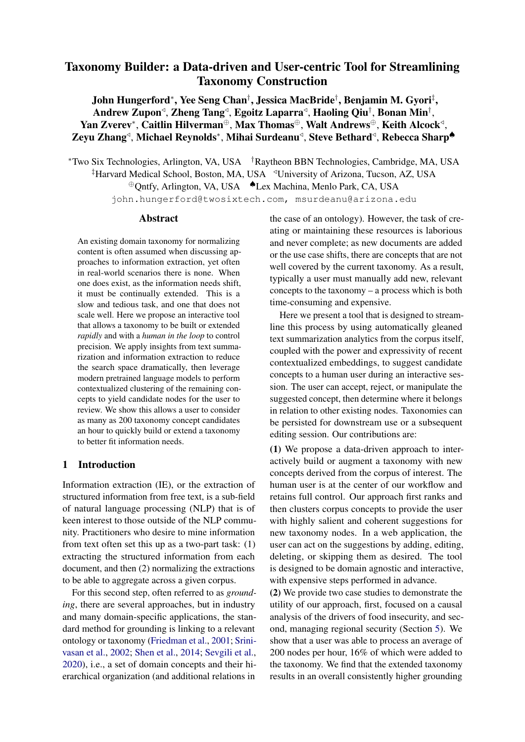# Taxonomy Builder: a Data-driven and User-centric Tool for Streamlining Taxonomy Construction

John Hungerford<sup>∗</sup> , Yee Seng Chan† , Jessica MacBride† , Benjamin M. Gyori‡ , Andrew Zupon $\triangleleft$ , Zheng Tang $\triangleleft$ , Egoitz Laparra $\triangleleft$ , Haoling Qiu $^\dagger$ , Bonan Min $^\dagger$ , Yan Zverev\*, Caitlin Hilverman⊕, Max Thomas⊕, Walt Andrews⊕, Keith Alcockଏ, Zeyu Zhang<sup>⊲</sup>, Michael Reynolds\*, Mihai Surdeanu<sup>⊲</sup>, Steve Bethard<sup>⊲</sup>, Rebecca Sharp<sup>▲</sup>

<sup>∗</sup>Two Six Technologies, Arlington, VA, USA †Raytheon BBN Technologies, Cambridge, MA, USA <sup>‡</sup>Harvard Medical School, Boston, MA, USA <sup><</sup>University of Arizona, Tucson, AZ, USA <sup>⊕</sup>Qntfy, Arlington, VA, USA ♠Lex Machina, Menlo Park, CA, USA john.hungerford@twosixtech.com, msurdeanu@arizona.edu

# Abstract

An existing domain taxonomy for normalizing content is often assumed when discussing approaches to information extraction, yet often in real-world scenarios there is none. When one does exist, as the information needs shift, it must be continually extended. This is a slow and tedious task, and one that does not scale well. Here we propose an interactive tool that allows a taxonomy to be built or extended *rapidly* and with a *human in the loop* to control precision. We apply insights from text summarization and information extraction to reduce the search space dramatically, then leverage modern pretrained language models to perform contextualized clustering of the remaining concepts to yield candidate nodes for the user to review. We show this allows a user to consider as many as 200 taxonomy concept candidates an hour to quickly build or extend a taxonomy to better fit information needs.

### 1 Introduction

Information extraction (IE), or the extraction of structured information from free text, is a sub-field of natural language processing (NLP) that is of keen interest to those outside of the NLP community. Practitioners who desire to mine information from text often set this up as a two-part task: (1) extracting the structured information from each document, and then (2) normalizing the extractions to be able to aggregate across a given corpus.

For this second step, often referred to as *grounding*, there are several approaches, but in industry and many domain-specific applications, the standard method for grounding is linking to a relevant ontology or taxonomy [\(Friedman et al.,](#page-4-0) [2001;](#page-4-0) [Srini](#page-5-0)[vasan et al.,](#page-5-0) [2002;](#page-5-0) [Shen et al.,](#page-5-1) [2014;](#page-5-1) [Sevgili et al.,](#page-5-2) [2020\)](#page-5-2), i.e., a set of domain concepts and their hierarchical organization (and additional relations in the case of an ontology). However, the task of creating or maintaining these resources is laborious and never complete; as new documents are added or the use case shifts, there are concepts that are not well covered by the current taxonomy. As a result, typically a user must manually add new, relevant concepts to the taxonomy – a process which is both time-consuming and expensive.

Here we present a tool that is designed to streamline this process by using automatically gleaned text summarization analytics from the corpus itself, coupled with the power and expressivity of recent contextualized embeddings, to suggest candidate concepts to a human user during an interactive session. The user can accept, reject, or manipulate the suggested concept, then determine where it belongs in relation to other existing nodes. Taxonomies can be persisted for downstream use or a subsequent editing session. Our contributions are:

(1) We propose a data-driven approach to interactively build or augment a taxonomy with new concepts derived from the corpus of interest. The human user is at the center of our workflow and retains full control. Our approach first ranks and then clusters corpus concepts to provide the user with highly salient and coherent suggestions for new taxonomy nodes. In a web application, the user can act on the suggestions by adding, editing, deleting, or skipping them as desired. The tool is designed to be domain agnostic and interactive, with expensive steps performed in advance.

(2) We provide two case studies to demonstrate the utility of our approach, first, focused on a causal analysis of the drivers of food insecurity, and second, managing regional security (Section [5\)](#page-3-0). We show that a user was able to process an average of 200 nodes per hour, 16% of which were added to the taxonomy. We find that the extended taxonomy results in an overall consistently higher grounding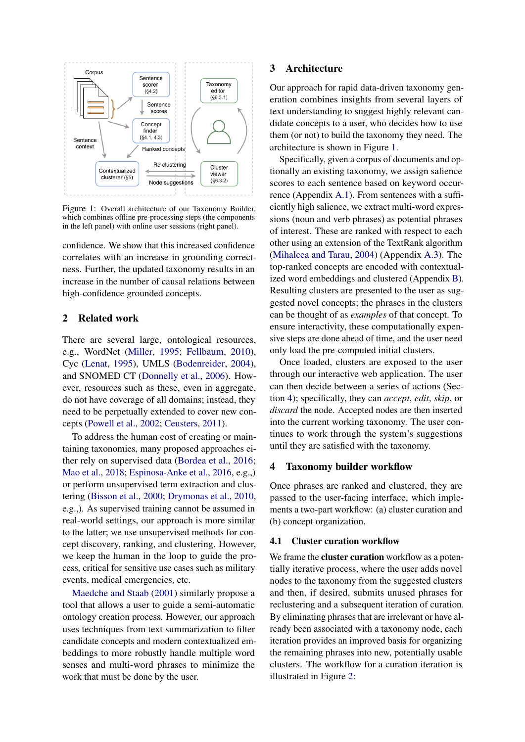<span id="page-1-0"></span>

Figure 1: Overall architecture of our Taxonomy Builder, which combines offline pre-processing steps (the components in the left panel) with online user sessions (right panel).

confidence. We show that this increased confidence correlates with an increase in grounding correctness. Further, the updated taxonomy results in an increase in the number of causal relations between high-confidence grounded concepts.

### 2 Related work

There are several large, ontological resources, e.g., WordNet [\(Miller,](#page-5-3) [1995;](#page-5-3) [Fellbaum,](#page-4-1) [2010\)](#page-4-1), Cyc [\(Lenat,](#page-4-2) [1995\)](#page-4-2), UMLS [\(Bodenreider,](#page-4-3) [2004\)](#page-4-3), and SNOMED CT [\(Donnelly et al.,](#page-4-4) [2006\)](#page-4-4). However, resources such as these, even in aggregate, do not have coverage of all domains; instead, they need to be perpetually extended to cover new concepts [\(Powell et al.,](#page-5-4) [2002;](#page-5-4) [Ceusters,](#page-4-5) [2011\)](#page-4-5).

To address the human cost of creating or maintaining taxonomies, many proposed approaches either rely on supervised data [\(Bordea et al.,](#page-4-6) [2016;](#page-4-6) [Mao et al.,](#page-4-7) [2018;](#page-4-7) [Espinosa-Anke et al.,](#page-4-8) [2016,](#page-4-8) e.g.,) or perform unsupervised term extraction and clustering [\(Bisson et al.,](#page-4-9) [2000;](#page-4-9) [Drymonas et al.,](#page-4-10) [2010,](#page-4-10) e.g.,). As supervised training cannot be assumed in real-world settings, our approach is more similar to the latter; we use unsupervised methods for concept discovery, ranking, and clustering. However, we keep the human in the loop to guide the process, critical for sensitive use cases such as military events, medical emergencies, etc.

[Maedche and Staab](#page-4-11) [\(2001\)](#page-4-11) similarly propose a tool that allows a user to guide a semi-automatic ontology creation process. However, our approach uses techniques from text summarization to filter candidate concepts and modern contextualized embeddings to more robustly handle multiple word senses and multi-word phrases to minimize the work that must be done by the user.

# 3 Architecture

Our approach for rapid data-driven taxonomy generation combines insights from several layers of text understanding to suggest highly relevant candidate concepts to a user, who decides how to use them (or not) to build the taxonomy they need. The architecture is shown in Figure [1.](#page-1-0)

Specifically, given a corpus of documents and optionally an existing taxonomy, we assign salience scores to each sentence based on keyword occurrence (Appendix [A.1\)](#page-6-0). From sentences with a sufficiently high salience, we extract multi-word expressions (noun and verb phrases) as potential phrases of interest. These are ranked with respect to each other using an extension of the TextRank algorithm [\(Mihalcea and Tarau,](#page-4-12) [2004\)](#page-4-12) (Appendix [A.3\)](#page-6-1). The top-ranked concepts are encoded with contextualized word embeddings and clustered (Appendix [B\)](#page-7-0). Resulting clusters are presented to the user as suggested novel concepts; the phrases in the clusters can be thought of as *examples* of that concept. To ensure interactivity, these computationally expensive steps are done ahead of time, and the user need only load the pre-computed initial clusters.

Once loaded, clusters are exposed to the user through our interactive web application. The user can then decide between a series of actions (Section [4\)](#page-1-1); specifically, they can *accept*, *edit*, *skip*, or *discard* the node. Accepted nodes are then inserted into the current working taxonomy. The user continues to work through the system's suggestions until they are satisfied with the taxonomy.

#### <span id="page-1-1"></span>4 Taxonomy builder workflow

Once phrases are ranked and clustered, they are passed to the user-facing interface, which implements a two-part workflow: (a) cluster curation and (b) concept organization.

#### 4.1 Cluster curation workflow

We frame the **cluster curation** workflow as a potentially iterative process, where the user adds novel nodes to the taxonomy from the suggested clusters and then, if desired, submits unused phrases for reclustering and a subsequent iteration of curation. By eliminating phrases that are irrelevant or have already been associated with a taxonomy node, each iteration provides an improved basis for organizing the remaining phrases into new, potentially usable clusters. The workflow for a curation iteration is illustrated in Figure [2:](#page-2-0)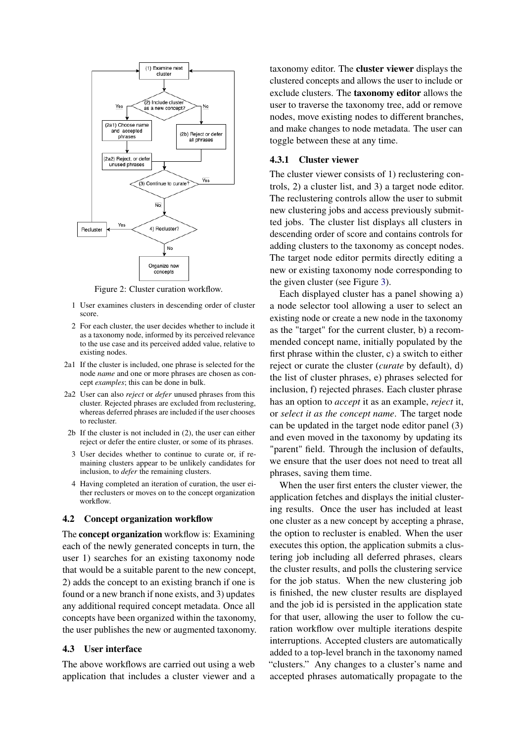<span id="page-2-0"></span>

Figure 2: Cluster curation workflow.

- 1 User examines clusters in descending order of cluster score.
- 2 For each cluster, the user decides whether to include it as a taxonomy node, informed by its perceived relevance to the use case and its perceived added value, relative to existing nodes.
- 2a1 If the cluster is included, one phrase is selected for the node *name* and one or more phrases are chosen as concept *examples*; this can be done in bulk.
- 2a2 User can also *reject* or *defer* unused phrases from this cluster. Rejected phrases are excluded from reclustering, whereas deferred phrases are included if the user chooses to recluster.
- 2b If the cluster is not included in (2), the user can either reject or defer the entire cluster, or some of its phrases.
- 3 User decides whether to continue to curate or, if remaining clusters appear to be unlikely candidates for inclusion, to *defer* the remaining clusters.
- 4 Having completed an iteration of curation, the user either reclusters or moves on to the concept organization workflow.

#### 4.2 Concept organization workflow

The concept organization workflow is: Examining each of the newly generated concepts in turn, the user 1) searches for an existing taxonomy node that would be a suitable parent to the new concept, 2) adds the concept to an existing branch if one is found or a new branch if none exists, and 3) updates any additional required concept metadata. Once all concepts have been organized within the taxonomy, the user publishes the new or augmented taxonomy.

#### 4.3 User interface

The above workflows are carried out using a web application that includes a cluster viewer and a taxonomy editor. The cluster viewer displays the clustered concepts and allows the user to include or exclude clusters. The taxonomy editor allows the user to traverse the taxonomy tree, add or remove nodes, move existing nodes to different branches, and make changes to node metadata. The user can toggle between these at any time.

# <span id="page-2-1"></span>4.3.1 Cluster viewer

The cluster viewer consists of 1) reclustering controls, 2) a cluster list, and 3) a target node editor. The reclustering controls allow the user to submit new clustering jobs and access previously submitted jobs. The cluster list displays all clusters in descending order of score and contains controls for adding clusters to the taxonomy as concept nodes. The target node editor permits directly editing a new or existing taxonomy node corresponding to the given cluster (see Figure [3\)](#page-3-1).

Each displayed cluster has a panel showing a) a node selector tool allowing a user to select an existing node or create a new node in the taxonomy as the "target" for the current cluster, b) a recommended concept name, initially populated by the first phrase within the cluster, c) a switch to either reject or curate the cluster (*curate* by default), d) the list of cluster phrases, e) phrases selected for inclusion, f) rejected phrases. Each cluster phrase has an option to *accept* it as an example, *reject* it, or *select it as the concept name*. The target node can be updated in the target node editor panel (3) and even moved in the taxonomy by updating its "parent" field. Through the inclusion of defaults, we ensure that the user does not need to treat all phrases, saving them time.

When the user first enters the cluster viewer, the application fetches and displays the initial clustering results. Once the user has included at least one cluster as a new concept by accepting a phrase, the option to recluster is enabled. When the user executes this option, the application submits a clustering job including all deferred phrases, clears the cluster results, and polls the clustering service for the job status. When the new clustering job is finished, the new cluster results are displayed and the job id is persisted in the application state for that user, allowing the user to follow the curation workflow over multiple iterations despite interruptions. Accepted clusters are automatically added to a top-level branch in the taxonomy named "clusters." Any changes to a cluster's name and accepted phrases automatically propagate to the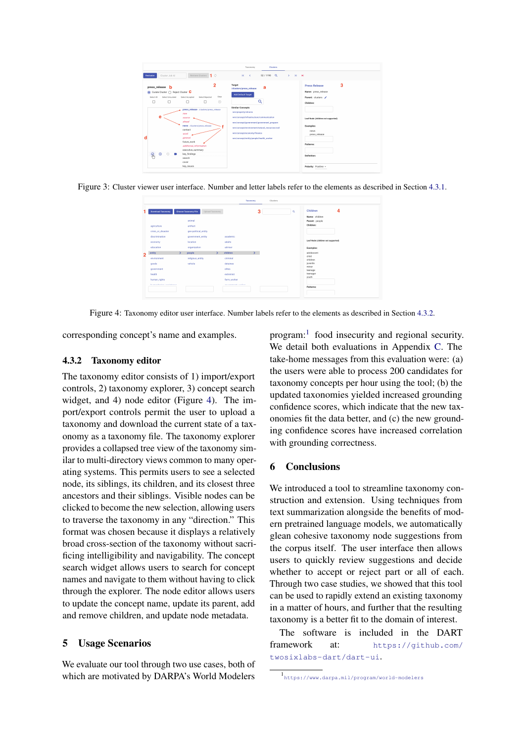<span id="page-3-1"></span>

<span id="page-3-3"></span>Figure 3: Cluster viewer user interface. Number and letter labels refer to the elements as described in Section [4.3.1.](#page-2-1)

|                        |   |                      |                 |   |                              | .                |   | . |          |                                    |
|------------------------|---|----------------------|-----------------|---|------------------------------|------------------|---|---|----------|------------------------------------|
| Download Taxonomy      |   | Choose Taxonomy File | Upload Taxonomy |   |                              |                  | 3 |   | $\alpha$ | Children                           |
|                        |   | animal               |                 |   |                              |                  |   |   |          | Name: children<br>Parent: people   |
| agriculture            |   | artifact             |                 |   |                              |                  |   |   |          | Children:                          |
| crisis_or_disaster     |   | geo-political_entity |                 |   |                              |                  |   |   |          |                                    |
| discrimination         |   | government_entity    |                 |   | academic                     |                  |   |   |          |                                    |
| economy                |   | location             |                 |   | adults                       |                  |   |   |          | Leaf Node (children not supported) |
| education              |   | organization         |                 |   | adviser                      |                  |   |   |          | Examples:                          |
| entity                 | > | people               |                 | ⋗ | children                     | $\sum_{i=1}^{n}$ |   |   |          | adolescent                         |
| environment            |   | religious_entity     |                 |   | criminal                     |                  |   |   |          | child<br>children                  |
| goods                  |   | vehicle              |                 |   | detainee                     |                  |   |   |          | juvenile                           |
| government             |   |                      |                 |   | elites                       |                  |   |   |          | minor<br>teenage                   |
| health                 |   |                      |                 |   | extremist                    |                  |   |   |          | teenager                           |
| human_rights           |   |                      |                 |   | farm worker                  |                  |   |   |          | youth                              |
| bromanbadan analasanan |   |                      |                 |   | <b>ANTIFACTURER CONTRACT</b> |                  |   |   |          | Patterns:                          |
|                        |   |                      |                 |   |                              |                  |   |   |          |                                    |

Figure 4: Taxonomy editor user interface. Number labels refer to the elements as described in Section [4.3.2.](#page-3-2)

corresponding concept's name and examples.

### <span id="page-3-2"></span>4.3.2 Taxonomy editor

The taxonomy editor consists of 1) import/export controls, 2) taxonomy explorer, 3) concept search widget, and 4) node editor (Figure [4\)](#page-3-3). The import/export controls permit the user to upload a taxonomy and download the current state of a taxonomy as a taxonomy file. The taxonomy explorer provides a collapsed tree view of the taxonomy similar to multi-directory views common to many operating systems. This permits users to see a selected node, its siblings, its children, and its closest three ancestors and their siblings. Visible nodes can be clicked to become the new selection, allowing users to traverse the taxonomy in any "direction." This format was chosen because it displays a relatively broad cross-section of the taxonomy without sacrificing intelligibility and navigability. The concept search widget allows users to search for concept names and navigate to them without having to click through the explorer. The node editor allows users to update the concept name, update its parent, add and remove children, and update node metadata.

# <span id="page-3-0"></span>5 Usage Scenarios

We evaluate our tool through two use cases, both of which are motivated by DARPA's World Modelers

program:<sup>[1](#page-3-4)</sup> food insecurity and regional security. We detail both evaluations in Appendix [C.](#page-7-1) The take-home messages from this evaluation were: (a) the users were able to process 200 candidates for taxonomy concepts per hour using the tool; (b) the updated taxonomies yielded increased grounding confidence scores, which indicate that the new taxonomies fit the data better, and (c) the new grounding confidence scores have increased correlation with grounding correctness.

# 6 Conclusions

We introduced a tool to streamline taxonomy construction and extension. Using techniques from text summarization alongside the benefits of modern pretrained language models, we automatically glean cohesive taxonomy node suggestions from the corpus itself. The user interface then allows users to quickly review suggestions and decide whether to accept or reject part or all of each. Through two case studies, we showed that this tool can be used to rapidly extend an existing taxonomy in a matter of hours, and further that the resulting taxonomy is a better fit to the domain of interest.

The software is included in the DART framework at: [https://github.com/](https://github.com/twosixlabs-dart/dart-ui) [twosixlabs-dart/dart-ui](https://github.com/twosixlabs-dart/dart-ui).

<span id="page-3-4"></span><sup>1</sup> <https://www.darpa.mil/program/world-modelers>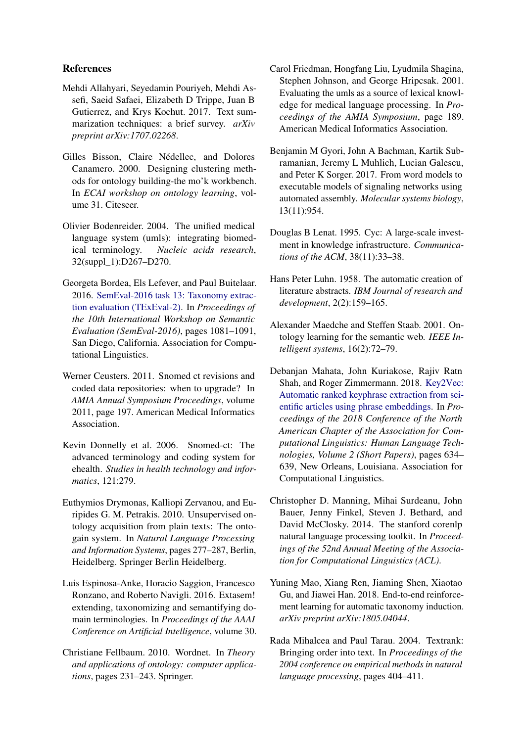# References

- <span id="page-4-14"></span>Mehdi Allahyari, Seyedamin Pouriyeh, Mehdi Assefi, Saeid Safaei, Elizabeth D Trippe, Juan B Gutierrez, and Krys Kochut. 2017. Text summarization techniques: a brief survey. *arXiv preprint arXiv:1707.02268*.
- <span id="page-4-9"></span>Gilles Bisson, Claire Nédellec, and Dolores Canamero. 2000. Designing clustering methods for ontology building-the mo'k workbench. In *ECAI workshop on ontology learning*, volume 31. Citeseer.
- <span id="page-4-3"></span>Olivier Bodenreider. 2004. The unified medical language system (umls): integrating biomedical terminology. *Nucleic acids research*, 32(suppl\_1):D267–D270.
- <span id="page-4-6"></span>Georgeta Bordea, Els Lefever, and Paul Buitelaar. 2016. [SemEval-2016 task 13: Taxonomy extrac](https://doi.org/10.18653/v1/S16-1168)[tion evaluation \(TExEval-2\).](https://doi.org/10.18653/v1/S16-1168) In *Proceedings of the 10th International Workshop on Semantic Evaluation (SemEval-2016)*, pages 1081–1091, San Diego, California. Association for Computational Linguistics.
- <span id="page-4-5"></span>Werner Ceusters. 2011. Snomed ct revisions and coded data repositories: when to upgrade? In *AMIA Annual Symposium Proceedings*, volume 2011, page 197. American Medical Informatics Association.
- <span id="page-4-4"></span>Kevin Donnelly et al. 2006. Snomed-ct: The advanced terminology and coding system for ehealth. *Studies in health technology and informatics*, 121:279.
- <span id="page-4-10"></span>Euthymios Drymonas, Kalliopi Zervanou, and Euripides G. M. Petrakis. 2010. Unsupervised ontology acquisition from plain texts: The ontogain system. In *Natural Language Processing and Information Systems*, pages 277–287, Berlin, Heidelberg. Springer Berlin Heidelberg.
- <span id="page-4-8"></span>Luis Espinosa-Anke, Horacio Saggion, Francesco Ronzano, and Roberto Navigli. 2016. Extasem! extending, taxonomizing and semantifying domain terminologies. In *Proceedings of the AAAI Conference on Artificial Intelligence*, volume 30.
- <span id="page-4-1"></span>Christiane Fellbaum. 2010. Wordnet. In *Theory and applications of ontology: computer applications*, pages 231–243. Springer.
- <span id="page-4-0"></span>Carol Friedman, Hongfang Liu, Lyudmila Shagina, Stephen Johnson, and George Hripcsak. 2001. Evaluating the umls as a source of lexical knowledge for medical language processing. In *Proceedings of the AMIA Symposium*, page 189. American Medical Informatics Association.
- <span id="page-4-17"></span>Benjamin M Gyori, John A Bachman, Kartik Subramanian, Jeremy L Muhlich, Lucian Galescu, and Peter K Sorger. 2017. From word models to executable models of signaling networks using automated assembly. *Molecular systems biology*, 13(11):954.
- <span id="page-4-2"></span>Douglas B Lenat. 1995. Cyc: A large-scale investment in knowledge infrastructure. *Communications of the ACM*, 38(11):33–38.
- <span id="page-4-13"></span>Hans Peter Luhn. 1958. The automatic creation of literature abstracts. *IBM Journal of research and development*, 2(2):159–165.
- <span id="page-4-11"></span>Alexander Maedche and Steffen Staab. 2001. Ontology learning for the semantic web. *IEEE Intelligent systems*, 16(2):72–79.
- <span id="page-4-16"></span>Debanjan Mahata, John Kuriakose, Rajiv Ratn Shah, and Roger Zimmermann. 2018. [Key2Vec:](https://doi.org/10.18653/v1/N18-2100) [Automatic ranked keyphrase extraction from sci](https://doi.org/10.18653/v1/N18-2100)[entific articles using phrase embeddings.](https://doi.org/10.18653/v1/N18-2100) In *Proceedings of the 2018 Conference of the North American Chapter of the Association for Computational Linguistics: Human Language Technologies, Volume 2 (Short Papers)*, pages 634– 639, New Orleans, Louisiana. Association for Computational Linguistics.
- <span id="page-4-15"></span>Christopher D. Manning, Mihai Surdeanu, John Bauer, Jenny Finkel, Steven J. Bethard, and David McClosky. 2014. The stanford corenlp natural language processing toolkit. In *Proceedings of the 52nd Annual Meeting of the Association for Computational Linguistics (ACL)*.
- <span id="page-4-7"></span>Yuning Mao, Xiang Ren, Jiaming Shen, Xiaotao Gu, and Jiawei Han. 2018. End-to-end reinforcement learning for automatic taxonomy induction. *arXiv preprint arXiv:1805.04044*.
- <span id="page-4-12"></span>Rada Mihalcea and Paul Tarau. 2004. Textrank: Bringing order into text. In *Proceedings of the 2004 conference on empirical methods in natural language processing*, pages 404–411.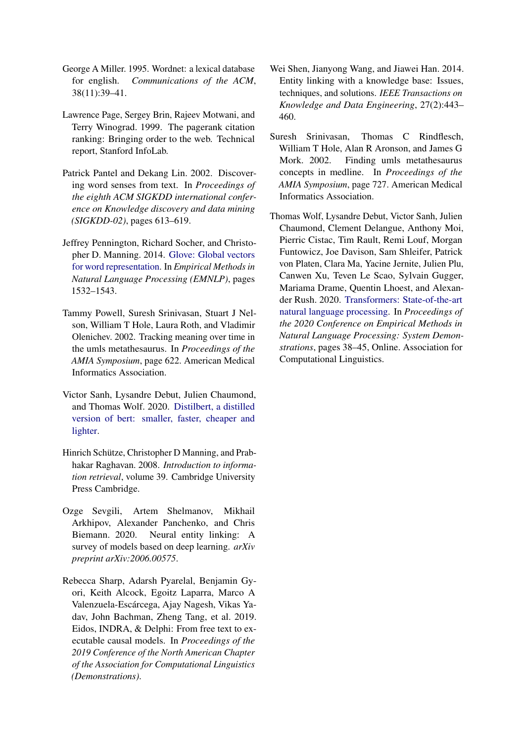- <span id="page-5-3"></span>George A Miller. 1995. Wordnet: a lexical database for english. *Communications of the ACM*, 38(11):39–41.
- <span id="page-5-5"></span>Lawrence Page, Sergey Brin, Rajeev Motwani, and Terry Winograd. 1999. The pagerank citation ranking: Bringing order to the web. Technical report, Stanford InfoLab.
- <span id="page-5-9"></span>Patrick Pantel and Dekang Lin. 2002. Discovering word senses from text. In *Proceedings of the eighth ACM SIGKDD international conference on Knowledge discovery and data mining (SIGKDD-02)*, pages 613–619.
- <span id="page-5-6"></span>Jeffrey Pennington, Richard Socher, and Christopher D. Manning. 2014. [Glove: Global vectors](http://www.aclweb.org/anthology/D14-1162) [for word representation.](http://www.aclweb.org/anthology/D14-1162) In *Empirical Methods in Natural Language Processing (EMNLP)*, pages 1532–1543.
- <span id="page-5-4"></span>Tammy Powell, Suresh Srinivasan, Stuart J Nelson, William T Hole, Laura Roth, and Vladimir Olenichev. 2002. Tracking meaning over time in the umls metathesaurus. In *Proceedings of the AMIA Symposium*, page 622. American Medical Informatics Association.
- <span id="page-5-8"></span>Victor Sanh, Lysandre Debut, Julien Chaumond, and Thomas Wolf. 2020. [Distilbert, a distilled](http://arxiv.org/abs/1910.01108) [version of bert: smaller, faster, cheaper and](http://arxiv.org/abs/1910.01108) [lighter.](http://arxiv.org/abs/1910.01108)
- <span id="page-5-10"></span>Hinrich Schütze, Christopher D Manning, and Prabhakar Raghavan. 2008. *Introduction to information retrieval*, volume 39. Cambridge University Press Cambridge.
- <span id="page-5-2"></span>Ozge Sevgili, Artem Shelmanov, Mikhail Arkhipov, Alexander Panchenko, and Chris Biemann. 2020. Neural entity linking: A survey of models based on deep learning. *arXiv preprint arXiv:2006.00575*.
- <span id="page-5-11"></span>Rebecca Sharp, Adarsh Pyarelal, Benjamin Gyori, Keith Alcock, Egoitz Laparra, Marco A Valenzuela-Escárcega, Ajay Nagesh, Vikas Yadav, John Bachman, Zheng Tang, et al. 2019. Eidos, INDRA, & Delphi: From free text to executable causal models. In *Proceedings of the 2019 Conference of the North American Chapter of the Association for Computational Linguistics (Demonstrations)*.
- <span id="page-5-1"></span>Wei Shen, Jianyong Wang, and Jiawei Han. 2014. Entity linking with a knowledge base: Issues, techniques, and solutions. *IEEE Transactions on Knowledge and Data Engineering*, 27(2):443– 460.
- <span id="page-5-0"></span>Suresh Srinivasan, Thomas C Rindflesch, William T Hole, Alan R Aronson, and James G Mork. 2002. Finding umls metathesaurus concepts in medline. In *Proceedings of the AMIA Symposium*, page 727. American Medical Informatics Association.
- <span id="page-5-7"></span>Thomas Wolf, Lysandre Debut, Victor Sanh, Julien Chaumond, Clement Delangue, Anthony Moi, Pierric Cistac, Tim Rault, Remi Louf, Morgan Funtowicz, Joe Davison, Sam Shleifer, Patrick von Platen, Clara Ma, Yacine Jernite, Julien Plu, Canwen Xu, Teven Le Scao, Sylvain Gugger, Mariama Drame, Quentin Lhoest, and Alexander Rush. 2020. [Transformers: State-of-the-art](https://doi.org/10.18653/v1/2020.emnlp-demos.6) [natural language processing.](https://doi.org/10.18653/v1/2020.emnlp-demos.6) In *Proceedings of the 2020 Conference on Empirical Methods in Natural Language Processing: System Demonstrations*, pages 38–45, Online. Association for Computational Linguistics.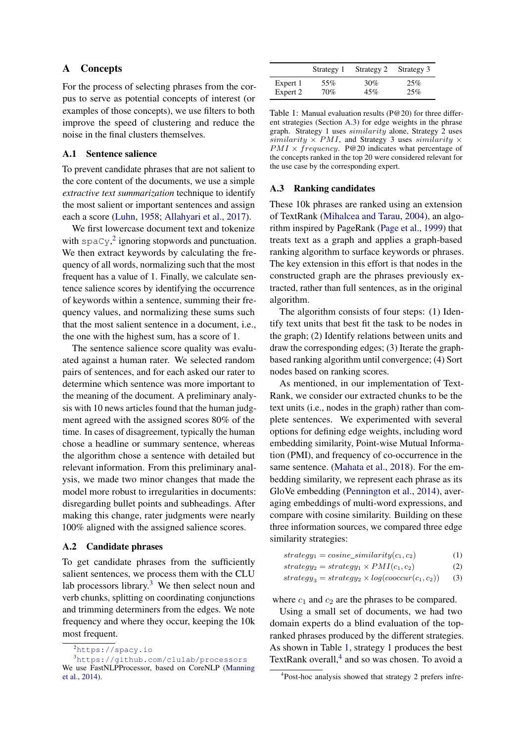# A Concepts

For the process of selecting phrases from the corpus to serve as potential concepts of interest (or examples of those concepts), we use filters to both improve the speed of clustering and reduce the noise in the final clusters themselves.

# <span id="page-6-0"></span>A.1 Sentence salience

To prevent candidate phrases that are not salient to the core content of the documents, we use a simple *extractive text summarization* technique to identify the most salient or important sentences and assign each a score [\(Luhn,](#page-4-13) [1958;](#page-4-13) [Allahyari et al.,](#page-4-14) [2017\)](#page-4-14).

We first lowercase document text and tokenize with  $\text{spaCy}$ <sup>[2](#page-6-2)</sup> ignoring stopwords and punctuation. We then extract keywords by calculating the frequency of all words, normalizing such that the most frequent has a value of 1. Finally, we calculate sentence salience scores by identifying the occurrence of keywords within a sentence, summing their frequency values, and normalizing these sums such that the most salient sentence in a document, i.e., the one with the highest sum, has a score of 1.

The sentence salience score quality was evaluated against a human rater. We selected random pairs of sentences, and for each asked our rater to determine which sentence was more important to the meaning of the document. A preliminary analysis with 10 news articles found that the human judgment agreed with the assigned scores 80% of the time. In cases of disagreement, typically the human chose a headline or summary sentence, whereas the algorithm chose a sentence with detailed but relevant information. From this preliminary analysis, we made two minor changes that made the model more robust to irregularities in documents: disregarding bullet points and subheadings. After making this change, rater judgments were nearly 100% aligned with the assigned salience scores.

# A.2 Candidate phrases

To get candidate phrases from the sufficiently salient sentences, we process them with the CLU lab processors library.<sup>[3](#page-6-3)</sup> We then select noun and verb chunks, splitting on coordinating conjunctions and trimming determiners from the edges. We note frequency and where they occur, keeping the 10k most frequent.

<span id="page-6-3"></span><span id="page-6-2"></span><sup>2</sup><https://spacy.io>

<span id="page-6-4"></span>

|          | Strategy 1 | Strategy 2 | Strategy 3 |
|----------|------------|------------|------------|
| Expert 1 | 55%        | 30%        | 25%        |
| Expert 2 | 70%        | 45%        | 25%        |

Table 1: Manual evaluation results (P@20) for three different strategies (Section [A.3\)](#page-6-1) for edge weights in the phrase graph. Strategy 1 uses similarity alone, Strategy 2 uses similarity  $\times$  PMI, and Strategy 3 uses similarity  $\times$  $PMI \times frequency$ . P@20 indicates what percentage of the concepts ranked in the top 20 were considered relevant for the use case by the corresponding expert.

### <span id="page-6-1"></span>A.3 Ranking candidates

These 10k phrases are ranked using an extension of TextRank [\(Mihalcea and Tarau,](#page-4-12) [2004\)](#page-4-12), an algorithm inspired by PageRank [\(Page et al.,](#page-5-5) [1999\)](#page-5-5) that treats text as a graph and applies a graph-based ranking algorithm to surface keywords or phrases. The key extension in this effort is that nodes in the constructed graph are the phrases previously extracted, rather than full sentences, as in the original algorithm.

The algorithm consists of four steps: (1) Identify text units that best fit the task to be nodes in the graph; (2) Identify relations between units and draw the corresponding edges; (3) Iterate the graphbased ranking algorithm until convergence; (4) Sort nodes based on ranking scores.

As mentioned, in our implementation of Text-Rank, we consider our extracted chunks to be the text units (i.e., nodes in the graph) rather than complete sentences. We experimented with several options for defining edge weights, including word embedding similarity, Point-wise Mutual Information (PMI), and frequency of co-occurrence in the same sentence. [\(Mahata et al.,](#page-4-16) [2018\)](#page-4-16). For the embedding similarity, we represent each phrase as its GloVe embedding [\(Pennington et al.,](#page-5-6) [2014\)](#page-5-6), averaging embeddings of multi-word expressions, and compare with cosine similarity. Building on these three information sources, we compared three edge similarity strategies:

$$
strategy_1 = cosine\_similarity(c_1, c_2)
$$
  
\n
$$
strategy_2 = strategy_1 \times PMI(c_1, c_2)
$$
  
\n(2)

 $strategy_3 = strategy_2 \times log(coccur(c_1, c_2))$  (3)

where  $c_1$  and  $c_2$  are the phrases to be compared.

Using a small set of documents, we had two domain experts do a blind evaluation of the topranked phrases produced by the different strategies. As shown in Table [1,](#page-6-4) strategy 1 produces the best TextRank overall, $4$  and so was chosen. To avoid a

<sup>3</sup><https://github.com/clulab/processors> We use FastNLPProcessor, based on CoreNLP [\(Manning](#page-4-15) [et al.,](#page-4-15) [2014\)](#page-4-15).

<span id="page-6-5"></span><sup>4</sup> Post-hoc analysis showed that strategy 2 prefers infre-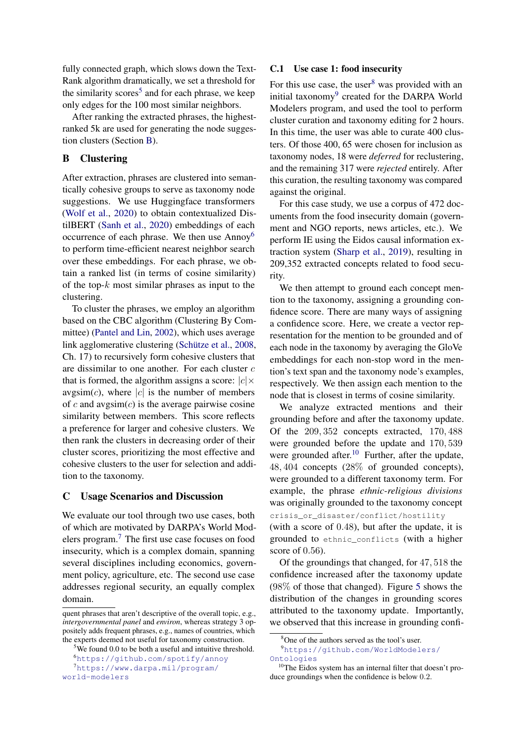fully connected graph, which slows down the Text-Rank algorithm dramatically, we set a threshold for the similarity scores<sup>[5](#page-7-2)</sup> and for each phrase, we keep only edges for the 100 most similar neighbors.

After ranking the extracted phrases, the highestranked 5k are used for generating the node suggestion clusters (Section [B\)](#page-7-0).

# <span id="page-7-0"></span>B Clustering

After extraction, phrases are clustered into semantically cohesive groups to serve as taxonomy node suggestions. We use Huggingface transformers [\(Wolf et al.,](#page-5-7) [2020\)](#page-5-7) to obtain contextualized DistilBERT [\(Sanh et al.,](#page-5-8) [2020\)](#page-5-8) embeddings of each occurrence of each phrase. We then use Annoy[6](#page-7-3) to perform time-efficient nearest neighbor search over these embeddings. For each phrase, we obtain a ranked list (in terms of cosine similarity) of the top- $k$  most similar phrases as input to the clustering.

To cluster the phrases, we employ an algorithm based on the CBC algorithm (Clustering By Committee) [\(Pantel and Lin,](#page-5-9) [2002\)](#page-5-9), which uses average link agglomerative clustering [\(Schütze et al.,](#page-5-10) [2008,](#page-5-10) Ch. 17) to recursively form cohesive clusters that are dissimilar to one another. For each cluster  $c$ that is formed, the algorithm assigns a score:  $|c| \times$  $avgsim(c)$ , where |c| is the number of members of c and avgsim $(c)$  is the average pairwise cosine similarity between members. This score reflects a preference for larger and cohesive clusters. We then rank the clusters in decreasing order of their cluster scores, prioritizing the most effective and cohesive clusters to the user for selection and addition to the taxonomy.

### <span id="page-7-1"></span>C Usage Scenarios and Discussion

We evaluate our tool through two use cases, both of which are motivated by DARPA's World Modelers program.[7](#page-7-4) The first use case focuses on food insecurity, which is a complex domain, spanning several disciplines including economics, government policy, agriculture, etc. The second use case addresses regional security, an equally complex domain.

### C.1 Use case 1: food insecurity

For this use case, the user $8$  was provided with an initial taxonomy<sup>[9](#page-7-6)</sup> created for the DARPA World Modelers program, and used the tool to perform cluster curation and taxonomy editing for 2 hours. In this time, the user was able to curate 400 clusters. Of those 400, 65 were chosen for inclusion as taxonomy nodes, 18 were *deferred* for reclustering, and the remaining 317 were *rejected* entirely. After this curation, the resulting taxonomy was compared against the original.

For this case study, we use a corpus of 472 documents from the food insecurity domain (government and NGO reports, news articles, etc.). We perform IE using the Eidos causal information extraction system [\(Sharp et al.,](#page-5-11) [2019\)](#page-5-11), resulting in 209,352 extracted concepts related to food security.

We then attempt to ground each concept mention to the taxonomy, assigning a grounding confidence score. There are many ways of assigning a confidence score. Here, we create a vector representation for the mention to be grounded and of each node in the taxonomy by averaging the GloVe embeddings for each non-stop word in the mention's text span and the taxonomy node's examples, respectively. We then assign each mention to the node that is closest in terms of cosine similarity.

We analyze extracted mentions and their grounding before and after the taxonomy update. Of the 209, 352 concepts extracted, 170, 488 were grounded before the update and 170, 539 were grounded after. $10$  Further, after the update, 48, 404 concepts (28% of grounded concepts), were grounded to a different taxonomy term. For example, the phrase *ethnic-religious divisions* was originally grounded to the taxonomy concept crisis\_or\_disaster/conflict/hostility (with a score of 0.48), but after the update, it is

grounded to ethnic\_conflicts (with a higher score of 0.56).

Of the groundings that changed, for 47, 518 the confidence increased after the taxonomy update (98% of those that changed). Figure [5](#page-8-0) shows the distribution of the changes in grounding scores attributed to the taxonomy update. Importantly, we observed that this increase in grounding confi-

quent phrases that aren't descriptive of the overall topic, e.g., *intergovernmental panel* and *environ*, whereas strategy 3 oppositely adds frequent phrases, e.g., names of countries, which the experts deemed not useful for taxonomy construction.

<span id="page-7-3"></span><span id="page-7-2"></span> $5$ We found 0.0 to be both a useful and intuitive threshold. <sup>6</sup><https://github.com/spotify/annoy>

<span id="page-7-4"></span><sup>7</sup>[https://www.darpa.mil/program/](https://www.darpa.mil/program/world-modelers) [world-modelers](https://www.darpa.mil/program/world-modelers)

<span id="page-7-6"></span><span id="page-7-5"></span><sup>8</sup>One of the authors served as the tool's user.

<sup>9</sup>[https://github.com/WorldModelers/](https://github.com/WorldModelers/Ontologies) [Ontologies](https://github.com/WorldModelers/Ontologies)

<span id="page-7-7"></span><sup>&</sup>lt;sup>10</sup>The Eidos system has an internal filter that doesn't produce groundings when the confidence is below 0.2.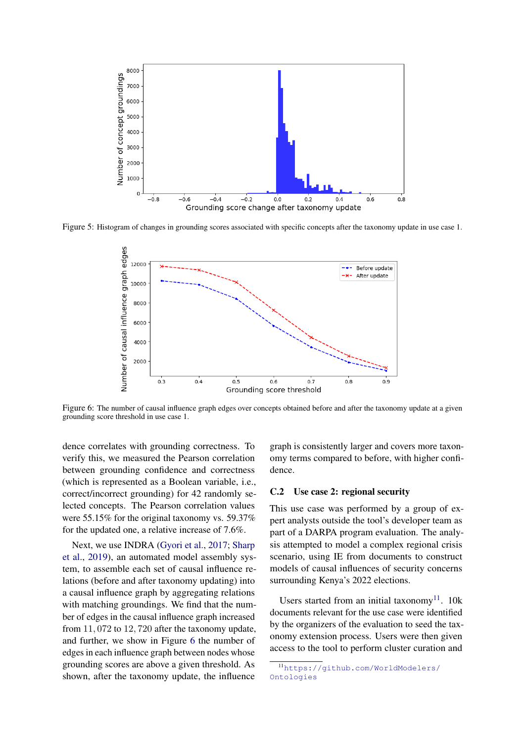<span id="page-8-0"></span>

<span id="page-8-1"></span>Figure 5: Histogram of changes in grounding scores associated with specific concepts after the taxonomy update in use case 1.



Figure 6: The number of causal influence graph edges over concepts obtained before and after the taxonomy update at a given grounding score threshold in use case 1.

dence correlates with grounding correctness. To verify this, we measured the Pearson correlation between grounding confidence and correctness (which is represented as a Boolean variable, i.e., correct/incorrect grounding) for 42 randomly selected concepts. The Pearson correlation values were 55.15% for the original taxonomy vs. 59.37% for the updated one, a relative increase of 7.6%.

Next, we use INDRA [\(Gyori et al.,](#page-4-17) [2017;](#page-4-17) [Sharp](#page-5-11) [et al.,](#page-5-11) [2019\)](#page-5-11), an automated model assembly system, to assemble each set of causal influence relations (before and after taxonomy updating) into a causal influence graph by aggregating relations with matching groundings. We find that the number of edges in the causal influence graph increased from 11, 072 to 12, 720 after the taxonomy update, and further, we show in Figure [6](#page-8-1) the number of edges in each influence graph between nodes whose grounding scores are above a given threshold. As shown, after the taxonomy update, the influence

graph is consistently larger and covers more taxonomy terms compared to before, with higher confidence.

### C.2 Use case 2: regional security

This use case was performed by a group of expert analysts outside the tool's developer team as part of a DARPA program evaluation. The analysis attempted to model a complex regional crisis scenario, using IE from documents to construct models of causal influences of security concerns surrounding Kenya's 2022 elections.

Users started from an initial taxonomy<sup>[11](#page-8-2)</sup>. 10k documents relevant for the use case were identified by the organizers of the evaluation to seed the taxonomy extension process. Users were then given access to the tool to perform cluster curation and

<span id="page-8-2"></span><sup>11</sup>[https://github.com/WorldModelers/](https://github.com/WorldModelers/Ontologies) [Ontologies](https://github.com/WorldModelers/Ontologies)